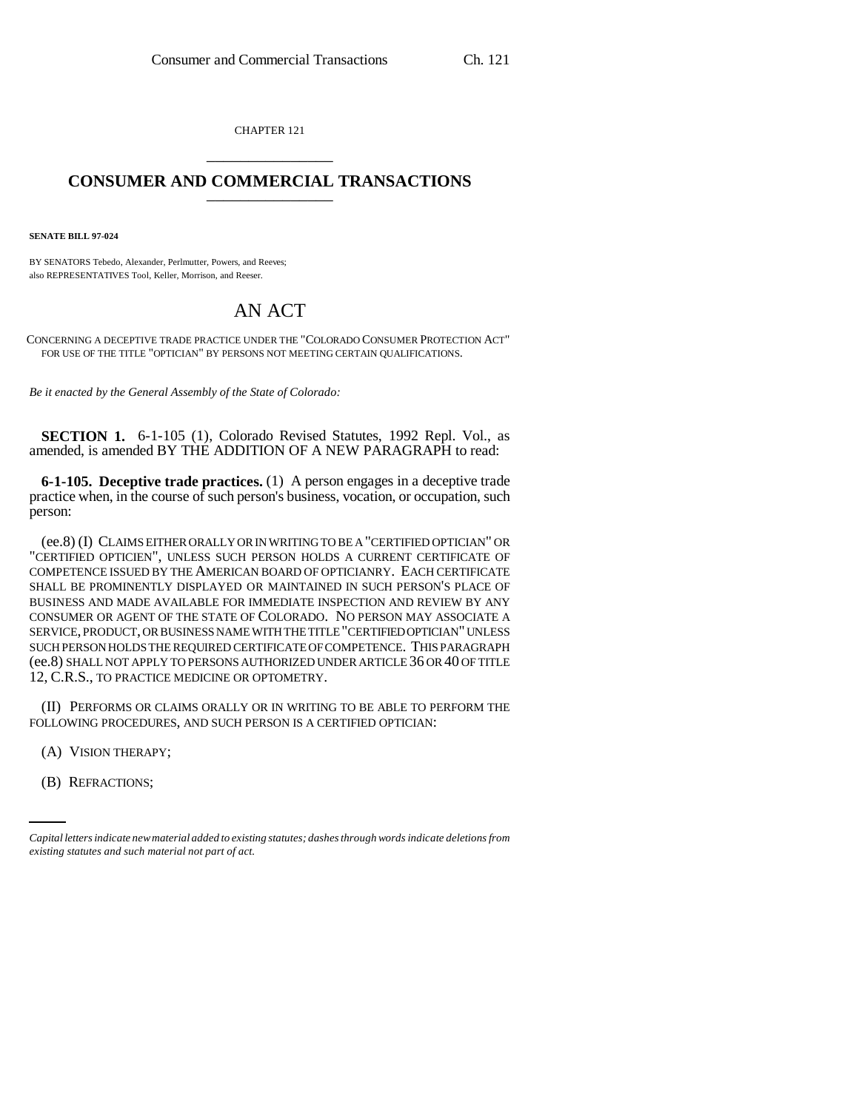CHAPTER 121 \_\_\_\_\_\_\_\_\_\_\_\_\_\_\_

## **CONSUMER AND COMMERCIAL TRANSACTIONS** \_\_\_\_\_\_\_\_\_\_\_\_\_\_\_

**SENATE BILL 97-024**

BY SENATORS Tebedo, Alexander, Perlmutter, Powers, and Reeves; also REPRESENTATIVES Tool, Keller, Morrison, and Reeser.

## AN ACT

CONCERNING A DECEPTIVE TRADE PRACTICE UNDER THE "COLORADO CONSUMER PROTECTION ACT" FOR USE OF THE TITLE "OPTICIAN" BY PERSONS NOT MEETING CERTAIN QUALIFICATIONS.

*Be it enacted by the General Assembly of the State of Colorado:*

**SECTION 1.** 6-1-105 (1), Colorado Revised Statutes, 1992 Repl. Vol., as amended, is amended BY THE ADDITION OF A NEW PARAGRAPH to read:

**6-1-105. Deceptive trade practices.** (1) A person engages in a deceptive trade practice when, in the course of such person's business, vocation, or occupation, such person:

(ee.8) (I) CLAIMS EITHER ORALLY OR IN WRITING TO BE A "CERTIFIED OPTICIAN" OR "CERTIFIED OPTICIEN", UNLESS SUCH PERSON HOLDS A CURRENT CERTIFICATE OF COMPETENCE ISSUED BY THE AMERICAN BOARD OF OPTICIANRY. EACH CERTIFICATE SHALL BE PROMINENTLY DISPLAYED OR MAINTAINED IN SUCH PERSON'S PLACE OF BUSINESS AND MADE AVAILABLE FOR IMMEDIATE INSPECTION AND REVIEW BY ANY CONSUMER OR AGENT OF THE STATE OF COLORADO. NO PERSON MAY ASSOCIATE A SERVICE, PRODUCT, OR BUSINESS NAME WITH THE TITLE "CERTIFIED OPTICIAN" UNLESS SUCH PERSON HOLDS THE REQUIRED CERTIFICATE OF COMPETENCE. THIS PARAGRAPH (ee.8) SHALL NOT APPLY TO PERSONS AUTHORIZED UNDER ARTICLE 36 OR 40 OF TITLE 12, C.R.S., TO PRACTICE MEDICINE OR OPTOMETRY.

(II) PERFORMS OR CLAIMS ORALLY OR IN WRITING TO BE ABLE TO PERFORM THE FOLLOWING PROCEDURES, AND SUCH PERSON IS A CERTIFIED OPTICIAN:

(A) VISION THERAPY;

(B) REFRACTIONS;

*Capital letters indicate new material added to existing statutes; dashes through words indicate deletions from existing statutes and such material not part of act.*